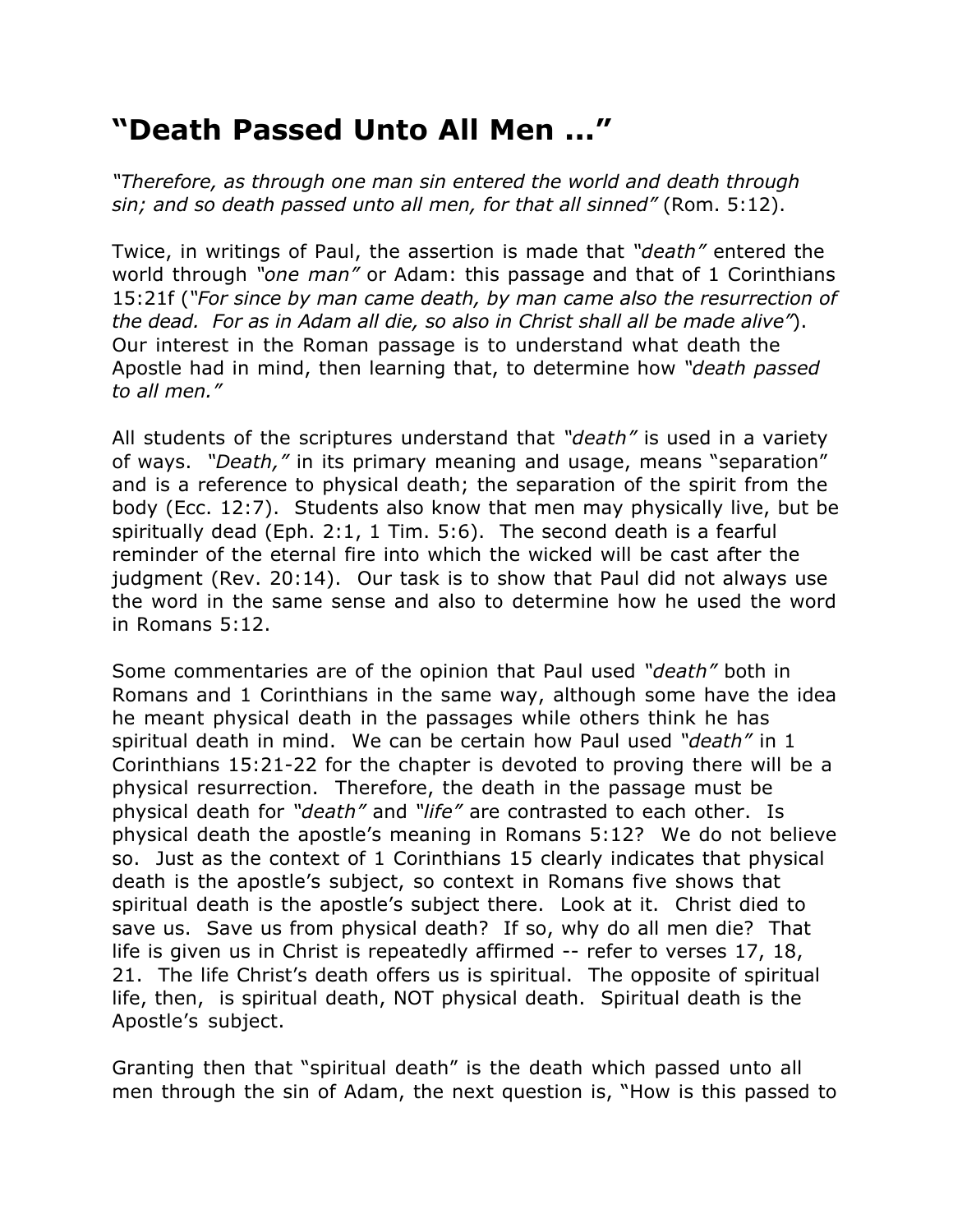## **"Death Passed Unto All Men ..."**

*"Therefore, as through one man sin entered the world and death through sin; and so death passed unto all men, for that all sinned"* (Rom. 5:12).

Twice, in writings of Paul, the assertion is made that *"death"* entered the world through *"one man"* or Adam: this passage and that of 1 Corinthians 15:21f (*"For since by man came death, by man came also the resurrection of the dead. For as in Adam all die, so also in Christ shall all be made alive"*). Our interest in the Roman passage is to understand what death the Apostle had in mind, then learning that, to determine how *"death passed to all men."*

All students of the scriptures understand that *"death"* is used in a variety of ways. *"Death,"* in its primary meaning and usage, means "separation" and is a reference to physical death; the separation of the spirit from the body (Ecc. 12:7). Students also know that men may physically live, but be spiritually dead (Eph. 2:1, 1 Tim. 5:6). The second death is a fearful reminder of the eternal fire into which the wicked will be cast after the judgment (Rev. 20:14). Our task is to show that Paul did not always use the word in the same sense and also to determine how he used the word in Romans 5:12.

Some commentaries are of the opinion that Paul used *"death"* both in Romans and 1 Corinthians in the same way, although some have the idea he meant physical death in the passages while others think he has spiritual death in mind. We can be certain how Paul used *"death"* in 1 Corinthians 15:21-22 for the chapter is devoted to proving there will be a physical resurrection. Therefore, the death in the passage must be physical death for *"death"* and *"life"* are contrasted to each other. Is physical death the apostle's meaning in Romans 5:12? We do not believe so. Just as the context of 1 Corinthians 15 clearly indicates that physical death is the apostle's subject, so context in Romans five shows that spiritual death is the apostle's subject there. Look at it. Christ died to save us. Save us from physical death? If so, why do all men die? That life is given us in Christ is repeatedly affirmed -- refer to verses 17, 18, 21. The life Christ's death offers us is spiritual. The opposite of spiritual life, then, is spiritual death, NOT physical death. Spiritual death is the Apostle's subject.

Granting then that "spiritual death" is the death which passed unto all men through the sin of Adam, the next question is, "How is this passed to